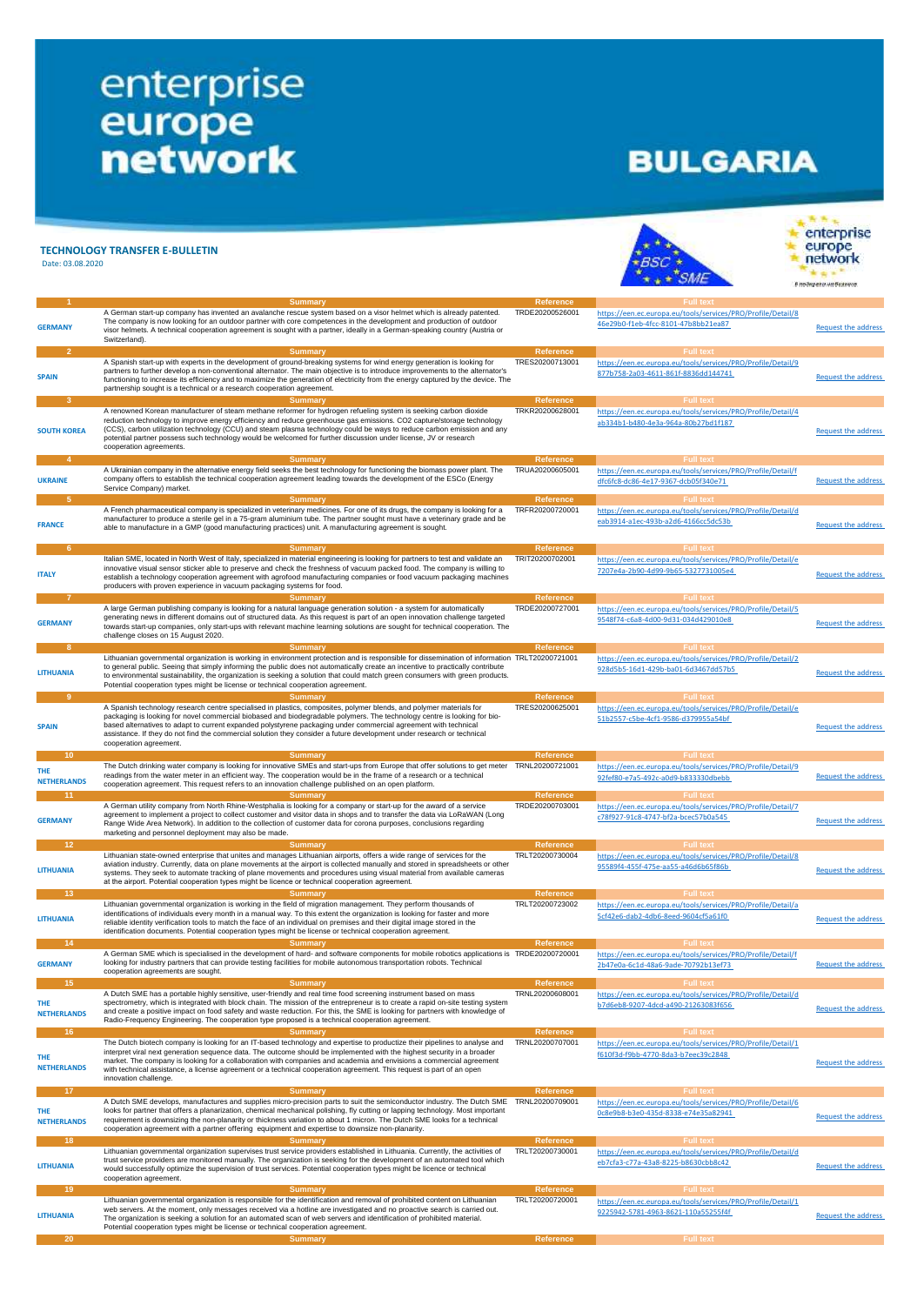## enterprise<br>
europe<br>
network

## **BULGARIA**

| Date: 03.08.2020                                    | <b>TECHNOLOGY TRANSFER E-BULLETIN</b>                                                                                                                                                                                                                                                                                                                                                                                                                                                                                                           |                                      |                                                                                                                                             | enterprise<br>europe<br><b>B INDOVERING WIL BUSINESS</b> |
|-----------------------------------------------------|-------------------------------------------------------------------------------------------------------------------------------------------------------------------------------------------------------------------------------------------------------------------------------------------------------------------------------------------------------------------------------------------------------------------------------------------------------------------------------------------------------------------------------------------------|--------------------------------------|---------------------------------------------------------------------------------------------------------------------------------------------|----------------------------------------------------------|
| <b>GERMANY</b>                                      | <b>Summary</b><br>A German start-up company has invented an avalanche rescue system based on a visor helmet which is already patented.<br>The company is now looking for an outdoor partner with core competences in the development and production of outdoor<br>visor helmets. A technical cooperation agreement is sought with a partner, ideally in a German-speaking country (Austria or<br>Switzerland).                                                                                                                                  | <b>Reference</b><br>TRDE20200526001  | <b>Full text</b><br>https://een.ec.europa.eu/tools/services/PRO/Profile/Detail/8<br>46e29b0-f1eb-4fcc-8101-47b8bb21ea87                     | <b>Request the address</b>                               |
| 2<br><b>SPAIN</b>                                   | <b>Summary</b><br>A Spanish start-up with experts in the development of ground-breaking systems for wind energy generation is looking for<br>partners to further develop a non-conventional alternator. The main objective is to introduce improvements to the alternator's<br>functioning to increase its efficiency and to maximize the generation of electricity from the energy captured by the device. The<br>partnership sought is a technical or a research cooperation agreement.                                                       | <b>Reference</b><br>TRES20200713001  | <b>Full text</b><br>https://een.ec.europa.eu/tools/services/PRO/Profile/Detail/9<br>877b758-2a03-4611-861f-8836dd144741                     | <b>Request the address</b>                               |
| 3<br><b>SOUTH KOREA</b>                             | <b>Summary</b><br>A renowned Korean manufacturer of steam methane reformer for hydrogen refueling system is seeking carbon dioxide<br>reduction technology to improve energy efficiency and reduce greenhouse gas emissions. CO2 capture/storage technology<br>(CCS), carbon utilization technology (CCU) and steam plasma technology could be ways to reduce carbon emission and any<br>potential partner possess such technology would be welcomed for further discussion under license, JV or research<br>cooperation agreements.            | Reference<br>TRKR20200628001         | <b>Full text</b><br>https://een.ec.europa.eu/tools/services/PRO/Profile/Detail/4<br>ab334b1-b480-4e3a-964a-80b27bd1f187                     | <b>Request the address</b>                               |
| 4<br><b>UKRAINE</b>                                 | <b>Summary</b><br>A Ukrainian company in the alternative energy field seeks the best technology for functioning the biomass power plant. The<br>company offers to establish the technical cooperation agreement leading towards the development of the ESCo (Energy<br>Service Company) market.                                                                                                                                                                                                                                                 | Reference<br>TRUA20200605001         | <b>Full text</b><br>https://een.ec.europa.eu/tools/services/PRO/Profile/Detail/f<br>dfc6fc8-dc86-4e17-9367-dcb05f340e71                     | <b>Request the address</b>                               |
| <b>FRANCE</b>                                       | <b>Summary</b><br>A French pharmaceutical company is specialized in veterinary medicines. For one of its drugs, the company is looking for a<br>manufacturer to produce a sterile gel in a 75-gram aluminium tube. The partner sought must have a veterinary grade and be<br>able to manufacture in a GMP (good manufacturing practices) unit. A manufacturing agreement is sought.                                                                                                                                                             | <b>Reference</b><br>TRFR20200720001  | https://een.ec.europa.eu/tools/services/PRO/Profile/Detail/d<br>eab3914-a1ec-493b-a2d6-4166cc5dc53b                                         | <b>Request the address</b>                               |
| 6<br><b>ITALY</b>                                   | <b>Summary</b><br>Italian SME, located in North West of Italy, specialized in material engineering is looking for partners to test and validate an<br>innovative visual sensor sticker able to preserve and check the freshness of vacuum packed food. The company is willing to<br>establish a technology cooperation agreement with agrofood manufacturing companies or food vacuum packaging machines<br>producers with proven experience in vacuum packaging systems for food.                                                              | <b>Reference</b><br>TRIT20200702001  | <b>Full text</b><br>https://een.ec.europa.eu/tools/services/PRO/Profile/Detail/e<br>7207e4a-2b90-4d99-9b65-5327731005e4                     | <b>Request the address</b>                               |
| <b>GERMANY</b>                                      | Summary<br>A large German publishing company is looking for a natural language generation solution - a system for automatically<br>generating news in different domains out of structured data. As this request is part of an open innovation challenge targeted<br>towards start-up companies, only start-ups with relevant machine learning solutions are sought for technical cooperation. The<br>challenge closes on 15 August 2020.                                                                                                        | <b>Reference</b><br>TRDE20200727001  | <b>Full text</b><br>https://een.ec.europa.eu/tools/services/PRO/Profile/Detail/5<br>9548f74-c6a8-4d00-9d31-034d429010e8                     | <b>Request the address</b>                               |
| 8<br><b>LITHUANIA</b>                               | <b>Summary</b><br>Lithuanian governmental organization is working in environment protection and is responsible for dissemination of information TRLT20200721001<br>to general public. Seeing that simply informing the public does not automatically create an incentive to practically contribute<br>to environmental sustainability, the organization is seeking a solution that could match green consumers with green products.<br>Potential cooperation types might be license or technical cooperation agreement.                         | <b>Reference</b>                     | <b>Full text</b><br>https://een.ec.europa.eu/tools/services/PRO/Profile/Detail/2<br>928d5b5-16d1-429b-ba01-6d3467dd57b5                     | <b>Request the address</b>                               |
| -9<br><b>SPAIN</b>                                  | <b>Summary</b><br>A Spanish technology research centre specialised in plastics, composites, polymer blends, and polymer materials for<br>packaging is looking for novel commercial biobased and biodegradable polymers. The technology centre is looking for bio-<br>based alternatives to adapt to current expanded polystyrene packaging under commercial agreement with technical<br>assistance. If they do not find the commercial solution they consider a future development under research or technical<br>cooperation agreement.        | <b>Reference</b><br>TRES20200625001  | <b>Full text</b><br>https://een.ec.europa.eu/tools/services/PRO/Profile/Detail/e<br>51b2557-c5be-4cf1-9586-d379955a54bf                     | <b>Request the address</b>                               |
| 10 <sub>1</sub><br>THE<br><b>NETHERLANDS</b><br>11  | <b>Summary</b><br>The Dutch drinking water company is looking for innovative SMEs and start-ups from Europe that offer solutions to get meter TRNL20200721001<br>readings from the water meter in an efficient way. The cooperation would be in the frame of a research or a technical<br>cooperation agreement. This request refers to an innovation challenge published on an open platform.<br><b>Summary</b>                                                                                                                                | <b>Reference</b><br><b>Reference</b> | <b>Full text</b><br>https://een.ec.europa.eu/tools/services/PRO/Profile/Detail/9<br>92fef80-e7a5-492c-a0d9-b833330dbebb<br><b>Full text</b> | <b>Request the address</b>                               |
| <b>GERMANY</b>                                      | A German utility company from North Rhine-Westphalia is looking for a company or start-up for the award of a service<br>agreement to implement a project to collect customer and visitor data in shops and to transfer the data via LoRaWAN (Long<br>Range Wide Area Network). In addition to the collection of customer data for corona purposes, conclusions regarding<br>marketing and personnel deployment may also be made.                                                                                                                | TRDE20200703001                      | https://een.ec.europa.eu/tools/services/PRO/Profile/Detail/7<br>c78f927-91c8-4747-bf2a-bcec57b0a545                                         | <b>Request the address</b>                               |
| 12 <sub>1</sub><br><b>LITHUANIA</b>                 | <b>Summary</b><br>Lithuanian state-owned enterprise that unites and manages Lithuanian airports, offers a wide range of services for the<br>aviation industry. Currently, data on plane movements at the airport is collected manually and stored in spreadsheets or other<br>systems. They seek to automate tracking of plane movements and procedures using visual material from available cameras<br>at the airport. Potential cooperation types might be licence or technical cooperation agreement.                                        | <b>Reference</b><br>TRLT20200730004  | <b>Full text</b><br>https://een.ec.europa.eu/tools/services/PRO/Profile/Detail/8<br>95589f4-455f-475e-aa55-a46d6b65f86b                     | <b>Request the address</b>                               |
| 13 <sup>°</sup><br><b>LITHUANIA</b>                 | <b>Summary</b><br>Lithuanian governmental organization is working in the field of migration management. They perform thousands of<br>identifications of individuals every month in a manual way. To this extent the organization is looking for faster and more<br>reliable identity verification tools to match the face of an individual on premises and their digital image stored in the<br>identification documents. Potential cooperation types might be license or technical cooperation agreement.                                      | <b>Reference</b><br>TRLT20200723002  | <b>Full text</b><br>https://een.ec.europa.eu/tools/services/PRO/Profile/Detail/a<br>5cf42e6-dab2-4db6-8eed-9604cf5a61f0                     | <b>Request the address</b>                               |
| 14<br><b>GERMANY</b>                                | Summary<br>A German SME which is specialised in the development of hard- and software components for mobile robotics applications is TRDE20200720001<br>looking for industry partners that can provide testing facilities for mobile autonomous transportation robots. Technical<br>cooperation agreements are sought.                                                                                                                                                                                                                          | <b>Reference</b>                     | <b>Full text</b><br>https://een.ec.europa.eu/tools/services/PRO/Profile/Detail/f<br>2b47e0a-6c1d-48a6-9ade-70792b13ef73                     | <b>Request the address</b>                               |
| 15 <sub>1</sub><br><b>THE</b><br><b>NETHERLANDS</b> | Summary<br>A Dutch SME has a portable highly sensitive, user-friendly and real time food screening instrument based on mass<br>spectrometry, which is integrated with block chain. The mission of the entrepreneur is to create a rapid on-site testing system<br>and create a positive impact on food safety and waste reduction. For this, the SME is looking for partners with knowledge of<br>Radio-Frequency Engineering. The cooperation type proposed is a technical cooperation agreement.                                              | Reference<br>TRNL20200608001         | <b>Full text</b><br>https://een.ec.europa.eu/tools/services/PRO/Profile/Detail/d<br>b7d6eb8-9207-4dcd-a490-21263083f656                     | <b>Request the address</b>                               |
| 16 <sup>2</sup><br>THE<br><b>NETHERLANDS</b>        | <b>Summary</b><br>The Dutch biotech company is looking for an IT-based technology and expertise to productize their pipelines to analyse and<br>interpret viral next generation sequence data. The outcome should be implemented with the highest security in a broader<br>market. The company is looking for a collaboration with companies and academia and envisions a commercial agreement<br>with technical assistance, a license agreement or a technical cooperation agreement. This request is part of an open<br>innovation challenge. | <b>Reference</b><br>TRNL20200707001  | <b>Full text</b><br>https://een.ec.europa.eu/tools/services/PRO/Profile/Detail/1<br>f610f3d-f9bb-4770-8da3-b7eec39c2848                     | <b>Request the address</b>                               |
| 17<br>THE<br><b>NETHERLANDS</b>                     | <b>Summary</b><br>A Dutch SME develops, manufactures and supplies micro-precision parts to suit the semiconductor industry. The Dutch SME TRNL20200709001<br>looks for partner that offers a planarization, chemical mechanical polishing, fly cutting or lapping technology. Most important<br>requirement is downsizing the non-planarity or thickness variation to about 1 micron. The Dutch SME looks for a technical<br>cooperation agreement with a partner offering equipment and expertise to downsize non-planarity.                   | <b>Reference</b>                     | <b>Full text</b><br>https://een.ec.europa.eu/tools/services/PRO/Profile/Detail/6<br>0c8e9b8-b3e0-435d-8338-e74e35a82941<br><b>Full text</b> | <b>Request the address</b>                               |
| 18<br><b>LITHUANIA</b>                              | <b>Summary</b><br>Lithuanian governmental organization supervises trust service providers established in Lithuania. Currently, the activities of<br>trust service providers are monitored manually. The organization is seeking for the development of an automated tool which<br>would successfully optimize the supervision of trust services. Potential cooperation types might be licence or technical<br>cooperation agreement.                                                                                                            | Reference<br>TRLT20200730001         | https://een.ec.europa.eu/tools/services/PRO/Profile/Detail/d<br>eb7cfa3-c77a-43a8-8225-b8630cbb8c42                                         | <b>Request the address</b>                               |
| 19<br><b>LITHUANIA</b>                              | <b>Summary</b><br>Lithuanian governmental organization is responsible for the identification and removal of prohibited content on Lithuanian<br>web servers. At the moment, only messages received via a hotline are investigated and no proactive search is carried out.<br>The organization is seeking a solution for an automated scan of web servers and identification of prohibited material.<br>Potential cooperation types might be license or technical cooperation agreement.                                                         | <b>Reference</b><br>TRLT20200720001  | <b>Full text</b><br>https://een.ec.europa.eu/tools/services/PRO/Profile/Detail/1<br>9225942-5781-4963-8621-110a55255f4f                     | <b>Request the address</b>                               |
| 20                                                  | <b>Summary</b>                                                                                                                                                                                                                                                                                                                                                                                                                                                                                                                                  | <b>Reference</b>                     | <b>Full text</b>                                                                                                                            |                                                          |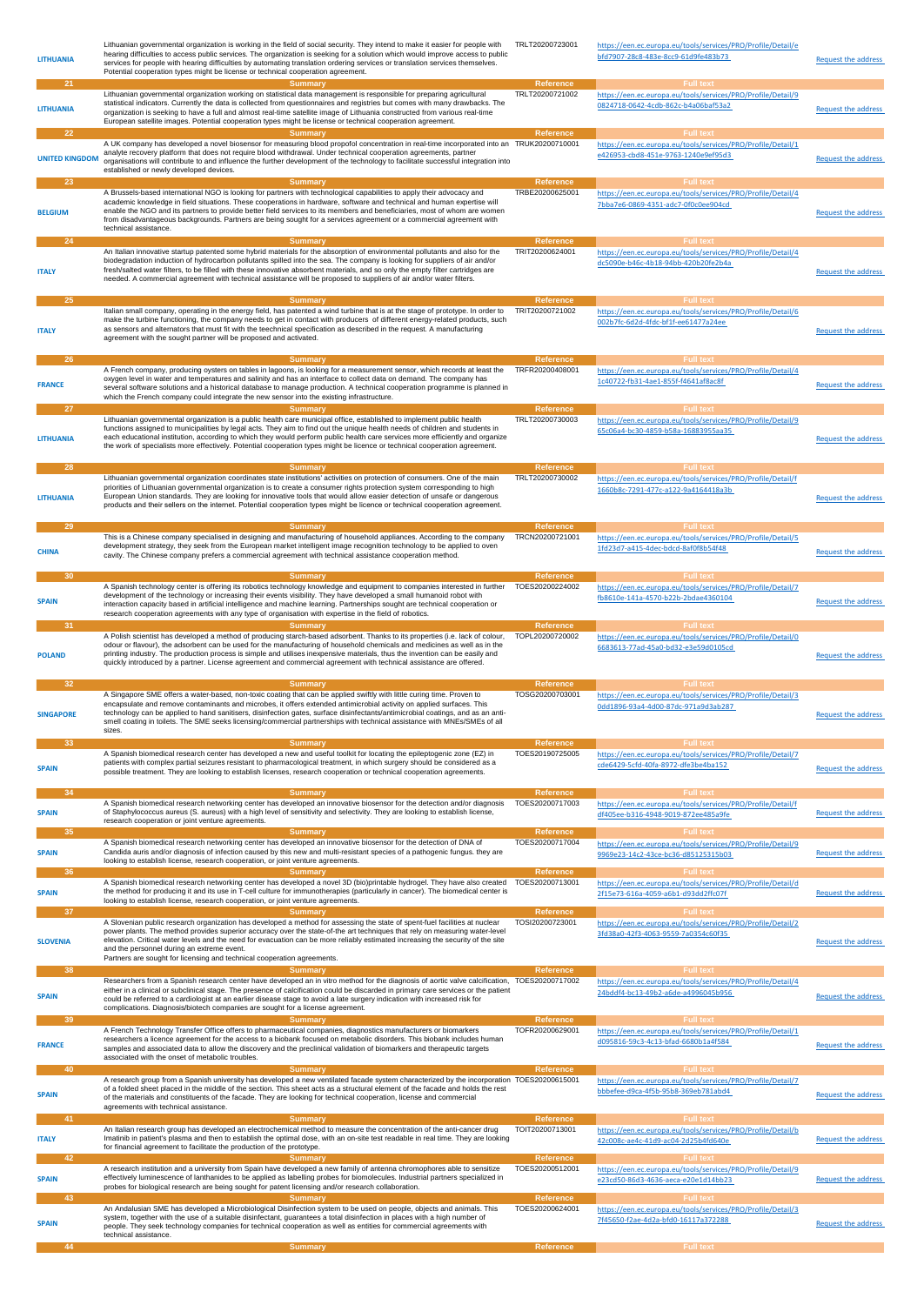| <b>LITHUANIA</b>            | Lithuanian governmental organization is working in the field of social security. They intend to make it easier for people with<br>hearing difficulties to access public services. The organization is seeking for a solution which would improve access to public<br>services for people with hearing difficulties by automating translation ordering services or translation services themselves.<br>Potential cooperation types might be license or technical cooperation agreement.                                                           | TRLT20200723001                                         | https://een.ec.europa.eu/tools/services/PRO/Profile/Detail/e<br>bfd7907-28c8-483e-8cc9-61d9fe483b73                                                                                     | <b>Request the address</b> |
|-----------------------------|--------------------------------------------------------------------------------------------------------------------------------------------------------------------------------------------------------------------------------------------------------------------------------------------------------------------------------------------------------------------------------------------------------------------------------------------------------------------------------------------------------------------------------------------------|---------------------------------------------------------|-----------------------------------------------------------------------------------------------------------------------------------------------------------------------------------------|----------------------------|
| 21<br><b>LITHUANIA</b>      | <b>Summary</b><br>Lithuanian governmental organization working on statistical data management is responsible for preparing agricultural<br>statistical indicators. Currently the data is collected from questionnaires and registries but comes with many drawbacks. The<br>organization is seeking to have a full and almost real-time satellite image of Lithuania constructed from various real-time<br>European satellite images. Potential cooperation types might be license or technical cooperation agreement.                           | Reference<br>TRLT20200721002                            | <b>Full text</b><br>https://een.ec.europa.eu/tools/services/PRO/Profile/Detail/9<br>0824718-0642-4cdb-862c-b4a06baf53a2                                                                 | Request the address        |
| 22<br><b>UNITED KINGDOM</b> | <b>Summary</b><br>A UK company has developed a novel biosensor for measuring blood propofol concentration in real-time incorporated into an TRUK20200710001<br>analyte recovery platform that does not require blood withdrawal. Under technical cooperation agreements, partner<br>organisations will contribute to and influence the further development of the technology to facilitate successful integration into<br>established or newly developed devices.                                                                                | <b>Reference</b>                                        | <b>Full text</b><br>https://een.ec.europa.eu/tools/services/PRO/Profile/Detail/1<br>e426953-cbd8-451e-9763-1240e9ef95d3                                                                 | <b>Request the address</b> |
| 23<br><b>BELGIUM</b>        | <b>Summary</b><br>A Brussels-based international NGO is looking for partners with technological capabilities to apply their advocacy and<br>academic knowledge in field situations. These cooperations in hardware, software and technical and human expertise will<br>enable the NGO and its partners to provide better field services to its members and beneficiaries, most of whom are women<br>from disadvantageous backgrounds. Partners are being sought for a services agreement or a commercial agreement with<br>technical assistance. | <b>Reference</b><br>TRBE20200625001                     | <b>Full text</b><br>https://een.ec.europa.eu/tools/services/PRO/Profile/Detail/4<br>7bba7e6-0869-4351-adc7-0f0c0ee904cd                                                                 | <b>Request the address</b> |
| 24<br><b>ITALY</b>          | <b>Summary</b><br>An Italian innovative startup patented some hybrid materials for the absorption of environmental pollutants and also for the<br>biodegradation induction of hydrocarbon pollutants spilled into the sea. The company is looking for suppliers of air and/or<br>fresh/salted water filters, to be filled with these innovative absorbent materials, and so only the empty filter cartridges are<br>needed. A commercial agreement with technical assistance will be proposed to suppliers of air and/or water filters.          | Reference<br>TRIT20200624001                            | <b>Full text</b><br>https://een.ec.europa.eu/tools/services/PRO/Profile/Detail/4<br>dc5090e-b46c-4b18-94bb-420b20fe2b4a                                                                 | <b>Request the address</b> |
| 25<br><b>ITALY</b>          | <b>Summary</b><br>Italian small company, operating in the energy field, has patented a wind turbine that is at the stage of prototype. In order to<br>make the turbine functioning, the company needs to get in contact with producers of different energy-related products, such<br>as sensors and alternators that must fit with the teechnical specification as described in the request. A manufacturing<br>agreement with the sought partner will be proposed and activated.                                                                | Reference<br>TRIT20200721002                            | <b>Full text</b><br>https://een.ec.europa.eu/tools/services/PRO/Profile/Detail/6<br>002b7fc-6d2d-4fdc-bf1f-ee61477a24ee                                                                 | <b>Request the address</b> |
| 26<br><b>FRANCE</b><br>27   | <b>Summary</b><br>A French company, producing oysters on tables in lagoons, is looking for a measurement sensor, which records at least the TRFR20200408001<br>oxygen level in water and temperatures and salinity and has an interface to collect data on demand. The company has<br>several software solutions and a historical database to manage production. A technical cooperation programme is planned in<br>which the French company could integrate the new sensor into the existing infrastructure.<br><b>Summary</b>                  | Reference<br>Reference                                  | <b>Full text</b><br>https://een.ec.europa.eu/tools/services/PRO/Profile/Detail/4<br>1c40722-fb31-4ae1-855f-f4641af8ac8f<br><b>Full text</b>                                             | <b>Request the address</b> |
| <b>LITHUANIA</b>            | Lithuanian governmental organization is a public health care municipal office, established to implement public health<br>functions assigned to municipalities by legal acts. They aim to find out the unique health needs of children and students in<br>each educational institution, according to which they would perform public health care services more efficiently and organize<br>the work of specialists more effectively. Potential cooperation types might be licence or technical cooperation agreement.                             | TRLT20200730003                                         | https://een.ec.europa.eu/tools/services/PRO/Profile/Detail/9<br>65c06a4-bc30-4859-b58a-16883955aa35                                                                                     | <b>Request the address</b> |
| 28<br><b>LITHUANIA</b>      | <b>Summary</b><br>Lithuanian governmental organization coordinates state institutions' activities on protection of consumers. One of the main<br>priorities of Lithuanian governmental organization is to create a consumer rights protection system corresponding to high<br>European Union standards. They are looking for innovative tools that would allow easier detection of unsafe or dangerous<br>products and their sellers on the internet. Potential cooperation types might be licence or technical cooperation agreement.           | Reference<br>TRLT20200730002                            | <b>Full text</b><br>https://een.ec.europa.eu/tools/services/PRO/Profile/Detail/f<br>1660b8c-7291-477c-a122-9a4164418a3b                                                                 | <b>Request the address</b> |
| 29<br><b>CHINA</b>          | <b>Summary</b><br>This is a Chinese company specialised in designing and manufacturing of household appliances. According to the company<br>development strategy, they seek from the European market intelligent image recognition technology to be applied to oven<br>cavity. The Chinese company prefers a commercial agreement with technical assistance cooperation method.                                                                                                                                                                  | <b>Reference</b><br>TRCN20200721001                     | <b>Full text</b><br>https://een.ec.europa.eu/tools/services/PRO/Profile/Detail/5<br>1fd23d7-a415-4dec-bdcd-8af0f8b54f48                                                                 | <b>Request the address</b> |
| 30<br><b>SPAIN</b><br>31    | Summary<br>A Spanish technology center is offering its robotics technology knowledge and equipment to companies interested in further<br>development of the technology or increasing their events visibility. They have developed a small humanoid robot with<br>interaction capacity based in artificial intelligence and machine learning. Partnerships sought are technical cooperation or<br>research cooperation agreements with any type of organisation with expertise in the field of robotics.<br>Summary                               | Reference<br>TOES20200224002<br><b>Reference</b>        | <b>Full text</b><br>https://een.ec.europa.eu/tools/services/PRO/Profile/Detail/7<br>fb8610e-141a-4570-b22b-2bdae4360104<br><b>Full text</b>                                             | <b>Request the address</b> |
| <b>POLAND</b>               | A Polish scientist has developed a method of producing starch-based adsorbent. Thanks to its properties (i.e. lack of colour,<br>odour or flavour), the adsorbent can be used for the manufacturing of household chemicals and medicines as well as in the<br>printing industry. The production process is simple and utilises inexpensive materials, thus the invention can be easily and<br>quickly introduced by a partner. License agreement and commercial agreement with technical assistance are offered.                                 | TOPL20200720002                                         | https://een.ec.europa.eu/tools/services/PRO/Profile/Detail/0<br>6683613-77ad-45a0-bd32-e3e59d0105cd                                                                                     | <b>Request the address</b> |
| 32<br><b>SINGAPORE</b>      | Summary<br>A Singapore SME offers a water-based, non-toxic coating that can be applied swiftly with little curing time. Proven to<br>encapsulate and remove contaminants and microbes, it offers extended antimicrobial activity on applied surfaces. This<br>technology can be applied to hand sanitisers, disinfection gates, surface disinfectants/antimicrobial coatings, and as an anti-<br>smell coating in toilets. The SME seeks licensing/commercial partnerships with technical assistance with MNEs/SMEs of all<br>sizes.             | <b>Reference</b><br>TOSG20200703001                     | <b>Full text</b><br>https://een.ec.europa.eu/tools/services/PRO/Profile/Detail/3<br>0dd1896-93a4-4d00-87dc-971a9d3ab287                                                                 | <b>Request the address</b> |
| 33<br><b>SPAIN</b>          | Summary<br>A Spanish biomedical research center has developed a new and useful toolkit for locating the epileptogenic zone (EZ) in<br>patients with complex partial seizures resistant to pharmacological treatment, in which surgery should be considered as a<br>possible treatment. They are looking to establish licenses, research cooperation or technical cooperation agreements.                                                                                                                                                         | Reference<br>TOES20190725005                            | <b>Full text</b><br>https://een.ec.europa.eu/tools/services/PRO/Profile/Detail/7<br>cde6429-5cfd-40fa-8972-dfe3be4ba152                                                                 | <b>Request the address</b> |
| 34<br><b>SPAIN</b><br>35    | <b>Summary</b><br>A Spanish biomedical research networking center has developed an innovative biosensor for the detection and/or diagnosis<br>of Staphylococcus aureus (S. aureus) with a high level of sensitivity and selectivity. They are looking to establish license,<br>research cooperation or joint venture agreements.<br>Summary                                                                                                                                                                                                      | <b>Reference</b><br>TOES20200717003<br><b>Reference</b> | <b>Full text</b><br>https://een.ec.europa.eu/tools/services/PRO/Profile/Detail/f<br>df405ee-b316-4948-9019-872ee485a9fe<br><b>Full text</b>                                             | <b>Request the address</b> |
| <b>SPAIN</b><br>36          | A Spanish biomedical research networking center has developed an innovative biosensor for the detection of DNA of<br>Candida auris and/or diagnosis of infection caused by this new and multi-resistant species of a pathogenic fungus. they are<br>looking to establish license, research cooperation, or joint venture agreements.<br>Summary<br>A Spanish biomedical research networking center has developed a novel 3D (bio)printable hydrogel. They have also created                                                                      | TOES20200717004<br>Reference<br>TOES20200713001         | https://een.ec.europa.eu/tools/services/PRO/Profile/Detail/9<br>9969e23-14c2-43ce-bc36-d85125315b03<br><b>Full text</b><br>https://een.ec.europa.eu/tools/services/PRO/Profile/Detail/d | <b>Request the address</b> |
| <b>SPAIN</b><br>37          | the method for producing it and its use in T-cell culture for immunotherapies (particularly in cancer). The biomedical center is<br>looking to establish license, research cooperation, or joint venture agreements.<br><b>Summary</b><br>A Slovenian public research organization has developed a method for assessing the state of spent-fuel facilities at nuclear                                                                                                                                                                            | <b>Reference</b><br>TOSI20200723001                     | 2f15e73-616a-4059-a6b1-d93dd2ffc07f<br><b>Full text</b><br>https://een.ec.europa.eu/tools/services/PRO/Profile/Detail/2                                                                 | Request the address        |
| <b>SLOVENIA</b>             | power plants. The method provides superior accuracy over the state-of-the art techniques that rely on measuring water-level<br>elevation. Critical water levels and the need for evacuation can be more reliably estimated increasing the security of the site<br>and the personnel during an extreme event.<br>Partners are sought for licensing and technical cooperation agreements.                                                                                                                                                          |                                                         | 3fd38a0-42f3-4063-9559-7a0354c60f35                                                                                                                                                     | <b>Request the address</b> |
| 38<br><b>SPAIN</b>          | <b>Summary</b><br>Researchers from a Spanish research center have developed an in vitro method for the diagnosis of aortic valve calcification, TOES20200717002<br>either in a clinical or subclinical stage. The presence of calcification could be discarded in primary care services or the patient<br>could be referred to a cardiologist at an earlier disease stage to avoid a late surgery indication with increased risk for<br>complications. Diagnosis/biotech companies are sought for a license agreement.                           | <b>Reference</b>                                        | <b>Full text</b><br>https://een.ec.europa.eu/tools/services/PRO/Profile/Detail/4<br>24bddf4-bc13-49b2-a6de-a4996045b956                                                                 | <b>Request the address</b> |
| <b>FRANCE</b>               | A French Technology Transfer Office offers to pharmaceutical companies, diagnostics manufacturers or biomarkers<br>researchers a licence agreement for the access to a biobank focused on metabolic disorders. This biobank includes human<br>samples and associated data to allow the discovery and the preclinical validation of biomarkers and therapeutic targets<br>associated with the onset of metabolic troubles.                                                                                                                        | <b>Reference</b><br>TOFR20200629001                     | <b>Full tex</b><br>https://een.ec.europa.eu/tools/services/PRO/Profile/Detail/1<br>d095816-59c3-4c13-bfad-6680b1a4f584                                                                  | Request the address        |
| 40<br><b>SPAIN</b>          | <b>Summary</b><br>A research group from a Spanish university has developed a new ventilated facade system characterized by the incorporation TOES20200615001<br>of a folded sheet placed in the middle of the section. This sheet acts as a structural element of the facade and holds the rest<br>of the materials and constituents of the facade. They are looking for technical cooperation, license and commercial<br>agreements with technical assistance.                                                                                  | Reference                                               | <b>Full text</b><br>https://een.ec.europa.eu/tools/services/PRO/Profile/Detail/7<br>bbbefee-d9ca-4f5b-95b8-369eb781abd4                                                                 | <b>Request the address</b> |
| 41<br><b>ITALY</b><br>42    | <b>Summary</b><br>An Italian research group has developed an electrochemical method to measure the concentration of the anti-cancer drug<br>Imatinib in patient's plasma and then to establish the optimal dose, with an on-site test readable in real time. They are looking<br>for financial agreement to facilitate the production of the prototype.<br><b>Summary</b>                                                                                                                                                                        | <b>Reference</b><br>TOIT20200713001<br><b>Reference</b> | <b>Full text</b><br>https://een.ec.europa.eu/tools/services/PRO/Profile/Detail/b<br>42c008c-ae4c-41d9-ac04-2d25b4fd640e<br><b>Full text</b>                                             | <b>Request the address</b> |
| <b>SPAIN</b><br>43          | A research institution and a university from Spain have developed a new family of antenna chromophores able to sensitize<br>effectively luminescence of lanthanides to be applied as labelling probes for biomolecules. Industrial partners specialized in<br>probes for biological research are being sought for patent licensing and/or research collaboration.<br><b>Summary</b>                                                                                                                                                              | TOES20200512001<br><b>Reference</b>                     | https://een.ec.europa.eu/tools/services/PRO/Profile/Detail/9<br>e23cd50-86d3-4636-aeca-e20e1d14bb23<br><b>Full text</b>                                                                 | <b>Request the address</b> |
| <b>SPAIN</b>                | An Andalusian SME has developed a Microbiological Disinfection system to be used on people, objects and animals. This<br>system, together with the use of a suitable disinfectant, guarantees a total disinfection in places with a high number of<br>people. They seek technology companies for technical cooperation as well as entities for commercial agreements with<br>technical assistance.<br><b>Summary</b>                                                                                                                             | TOES20200624001<br><b>Reference</b>                     | https://een.ec.europa.eu/tools/services/PRO/Profile/Detail/3<br>7f45650-f2ae-4d2a-bfd0-16117a372288                                                                                     | <b>Request the address</b> |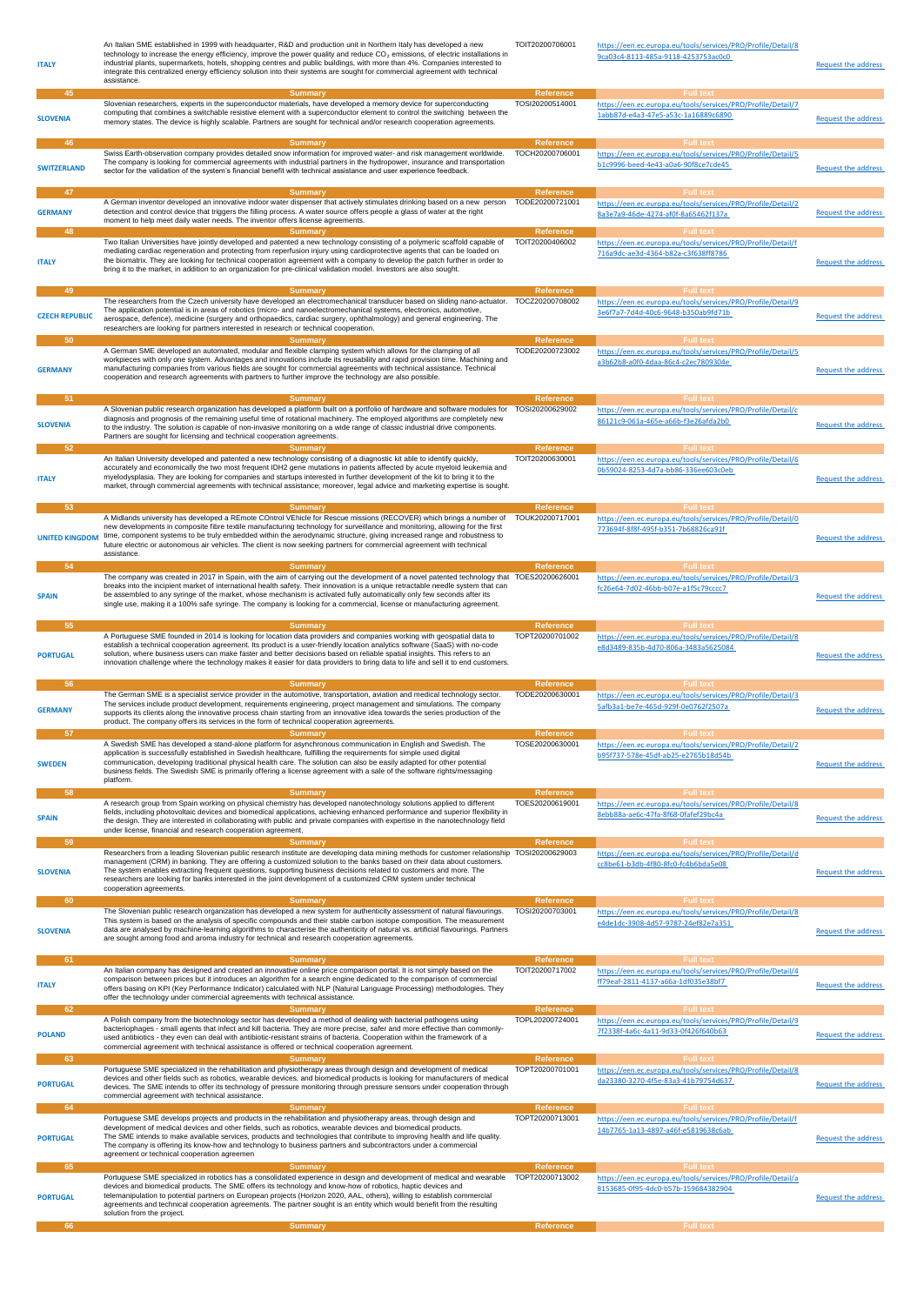| <b>ITALY</b>          | An Italian SME established in 1999 with headquarter, R&D and production unit in Northern Italy has developed a new<br>technology to increase the energy efficiency, improve the power quality and reduce CO <sub>2</sub> emissions, of electric installations in<br>industrial plants, supermarkets, hotels, shopping centres and public buildings, with more than 4%. Companies interested to<br>integrate this centralized energy efficiency solution into their systems are sought for commercial agreement with technical<br>assistance. | TOIT20200706001                     | https://een.ec.europa.eu/tools/services/PRO/Profile/Detail/8<br>9ca03c4-8113-485a-9118-4253753ac0c0 | <b>Request the address</b> |
|-----------------------|----------------------------------------------------------------------------------------------------------------------------------------------------------------------------------------------------------------------------------------------------------------------------------------------------------------------------------------------------------------------------------------------------------------------------------------------------------------------------------------------------------------------------------------------|-------------------------------------|-----------------------------------------------------------------------------------------------------|----------------------------|
| 45                    | <b>Summary</b><br>Slovenian researchers, experts in the superconductor materials, have developed a memory device for superconducting                                                                                                                                                                                                                                                                                                                                                                                                         | <b>Reference</b><br>TOSI20200514001 | <b>Full text</b>                                                                                    |                            |
| <b>SLOVENIA</b>       | computing that combines a switchable resistive element with a superconductor element to control the switching between the<br>memory states. The device is highly scalable. Partners are sought for technical and/or research cooperation agreements.                                                                                                                                                                                                                                                                                         |                                     | https://een.ec.europa.eu/tools/services/PRO/Profile/Detail/7<br>1abb87d-e4a3-47e5-a53c-1a16889c6890 | <b>Request the address</b> |
| 46                    | <b>Summary</b>                                                                                                                                                                                                                                                                                                                                                                                                                                                                                                                               | <b>Reference</b>                    | <b>Full text</b>                                                                                    |                            |
| <b>SWITZERLAND</b>    | Swiss Earth-observation company provides detailed snow information for improved water- and risk management worldwide.<br>The company is looking for commercial agreements with industrial partners in the hydropower, insurance and transportation<br>sector for the validation of the system's financial benefit with technical assistance and user experience feedback.                                                                                                                                                                    | TOCH20200706001                     | https://een.ec.europa.eu/tools/services/PRO/Profile/Detail/5<br>b1c9996-beed-4e43-a0a6-90f8ce7cde45 | <b>Request the address</b> |
| 47                    | <b>Summary</b>                                                                                                                                                                                                                                                                                                                                                                                                                                                                                                                               | Reference                           | <b>Full text</b>                                                                                    |                            |
| <b>GERMANY</b>        | A German inventor developed an innovative indoor water dispenser that actively stimulates drinking based on a new person TODE20200721001<br>detection and control device that triggers the filling process. A water source offers people a glass of water at the right<br>moment to help meet daily water needs. The inventor offers license agreements.                                                                                                                                                                                     |                                     | https://een.ec.europa.eu/tools/services/PRO/Profile/Detail/2<br>8a3e7a9-46de-4274-af0f-8a65462f137a | <b>Request the address</b> |
| 48                    | <b>Summary</b><br>Two Italian Universities have jointly developed and patented a new technology consisting of a polymeric scaffold capable of                                                                                                                                                                                                                                                                                                                                                                                                | <b>Reference</b><br>TOIT20200406002 | <b>Full text</b><br>https://een.ec.europa.eu/tools/services/PRO/Profile/Detail/f                    |                            |
| <b>ITALY</b>          | mediating cardiac regeneration and protecting from reperfusion injury using cardioprotective agents that can be loaded on<br>the biomatrix. They are looking for technical cooperation agreement with a company to develop the patch further in order to<br>bring it to the market, in addition to an organization for pre-clinical validation model. Investors are also sought.                                                                                                                                                             |                                     | 716a9dc-ae3d-4364-b82a-c3f638ff8786                                                                 | <b>Request the address</b> |
|                       |                                                                                                                                                                                                                                                                                                                                                                                                                                                                                                                                              |                                     |                                                                                                     |                            |
| 49                    | <b>Summary</b><br>The researchers from the Czech university have developed an electromechanical transducer based on sliding nano-actuator. TOCZ20200708002                                                                                                                                                                                                                                                                                                                                                                                   | <b>Reference</b>                    | <b>Full text</b><br>https://een.ec.europa.eu/tools/services/PRO/Profile/Detail/9                    |                            |
| <b>CZECH REPUBLIC</b> | The application potential is in areas of robotics (micro- and nanoelectromechanical systems, electronics, automotive,<br>aerospace, defence), medicine (surgery and orthopaedics, cardiac surgery, ophthalmology) and general engineering. The<br>researchers are looking for partners interested in research or technical cooperation.                                                                                                                                                                                                      |                                     | 3e6f7a7-7d4d-40c6-9648-b350ab9fd71b                                                                 | Request the address        |
| 50                    | <b>Summary</b>                                                                                                                                                                                                                                                                                                                                                                                                                                                                                                                               | Reference<br>TODE20200723002        | <b>Full text</b>                                                                                    |                            |
|                       | A German SME developed an automated, modular and flexible clamping system which allows for the clamping of all<br>workpieces with only one system. Advantages and innovations include its reusability and rapid provision time. Machining and                                                                                                                                                                                                                                                                                                |                                     | https://een.ec.europa.eu/tools/services/PRO/Profile/Detail/5<br>a3b62b8-a0f0-4daa-86c4-c2ec7809304e |                            |
| <b>GERMANY</b>        | manufacturing companies from various fields are sought for commercial agreements with technical assistance. Technical<br>cooperation and research agreements with partners to further improve the technology are also possible.                                                                                                                                                                                                                                                                                                              |                                     |                                                                                                     | <b>Request the address</b> |
| $-51$                 | <b>Summary</b>                                                                                                                                                                                                                                                                                                                                                                                                                                                                                                                               | Reference                           | <b>Full text</b>                                                                                    |                            |
| <b>SLOVENIA</b>       | A Slovenian public research organization has developed a platform built on a portfolio of hardware and software modules for TOSI20200629002<br>diagnosis and prognosis of the remaining useful time of rotational machinery. The employed algorithms are completely new<br>to the industry. The solution is capable of non-invasive monitoring on a wide range of classic industrial drive components.<br>Partners are sought for licensing and technical cooperation agreements.                                                            |                                     | https://een.ec.europa.eu/tools/services/PRO/Profile/Detail/c<br>86121c9-061a-465e-a66b-f3e26afda2b0 | <b>Request the address</b> |
| 52                    | <b>Summary</b>                                                                                                                                                                                                                                                                                                                                                                                                                                                                                                                               | Reference                           | <b>Full text</b>                                                                                    |                            |
| <b>ITALY</b>          | An Italian University developed and patented a new technology consisting of a diagnostic kit able to identify quickly,<br>accurately and economically the two most frequent IDH2 gene mutations in patients affected by acute myeloid leukemia and<br>myelodysplasia. They are looking for companies and startups interested in further development of the kit to bring it to the<br>market, through commercial agreements with technical assistance; moreover, legal advice and marketing expertise is sought.                              | TOIT20200630001                     | https://een.ec.europa.eu/tools/services/PRO/Profile/Detail/6<br>0b59024-8253-4d7a-bb86-336ee603c0eb | <b>Request the address</b> |
| 53                    | <b>Summary</b>                                                                                                                                                                                                                                                                                                                                                                                                                                                                                                                               | Reference                           | <b>Full text</b>                                                                                    |                            |
|                       | A Midlands university has developed a REmote COntrol VEhicle for Rescue missions (RECOVER) which brings a number of                                                                                                                                                                                                                                                                                                                                                                                                                          | TOUK20200717001                     | https://een.ec.europa.eu/tools/services/PRO/Profile/Detail/0                                        |                            |
|                       | new developments in composite fibre textile manufacturing technology for surveillance and monitoring, allowing for the first<br>UNITED KINGDOM time, component systems to be truly embedded within the aerodynamic structure, giving increased range and robustness to<br>future electric or autonomous air vehicles. The client is now seeking partners for commercial agreement with technical<br>assistance.                                                                                                                              |                                     | 773694f-8f8f-495f-b351-7b68826ca91f                                                                 | <b>Request the address</b> |
| 54                    | <b>Summary</b>                                                                                                                                                                                                                                                                                                                                                                                                                                                                                                                               | <b>Reference</b>                    | <b>Full text</b>                                                                                    |                            |
|                       | The company was created in 2017 in Spain, with the aim of carrying out the development of a novel patented technology that TOES20200626001                                                                                                                                                                                                                                                                                                                                                                                                   |                                     | https://een.ec.europa.eu/tools/services/PRO/Profile/Detail/3                                        |                            |
| <b>SPAIN</b>          | breaks into the incipient market of international health safety. Their innovation is a unique retractable needle system that can<br>be assembled to any syringe of the market, whose mechanism is activated fully automatically only few seconds after its<br>single use, making it a 100% safe syringe. The company is looking for a commercial, license or manufacturing agreement.                                                                                                                                                        |                                     | fc26e64-7d02-46bb-b07e-a1f5c79cccc7                                                                 | <b>Request the address</b> |
| 55                    | <b>Summary</b>                                                                                                                                                                                                                                                                                                                                                                                                                                                                                                                               | <b>Reference</b>                    | <b>Full text</b>                                                                                    |                            |
| <b>PORTUGAL</b>       | A Portuguese SME founded in 2014 is looking for location data providers and companies working with geospatial data to<br>establish a technical cooperation agreement. Its product is a user-friendly location analytics software (SaaS) with no-code<br>solution, where business users can make faster and better decisions based on reliable spatial insights. This refers to an<br>innovation challenge where the technology makes it easier for data providers to bring data to life and sell it to end customers.                        | TOPT20200701002                     | https://een.ec.europa.eu/tools/services/PRO/Profile/Detail/8<br>e8d3489-835b-4d70-806a-3483a5625084 | <b>Request the address</b> |
| 56                    | <b>Summary</b>                                                                                                                                                                                                                                                                                                                                                                                                                                                                                                                               | <b>Reference</b>                    | <b>Full text</b>                                                                                    |                            |
| <b>GERMANY</b>        | The German SME is a specialist service provider in the automotive, transportation, aviation and medical technology sector.<br>The services include product development, requirements engineering, project management and simulations. The company<br>supports its clients along the innovative process chain starting from an innovative idea towards the series production of the<br>product. The company offers its services in the form of technical cooperation agreements.                                                              | TODE20200630001                     | https://een.ec.europa.eu/tools/services/PRO/Profile/Detail/3<br>5afb3a1-be7e-465d-929f-0e0762f2507a | <b>Request the address</b> |
| -57                   | Summary                                                                                                                                                                                                                                                                                                                                                                                                                                                                                                                                      |                                     |                                                                                                     |                            |
| <b>SWEDEN</b>         | A Swedish SME has developed a stand-alone platform for asynchronous communication in English and Swedish. The<br>application is successfully established in Swedish healthcare, fulfilling the requirements for simple used digital<br>communication, developing traditional physical health care. The solution can also be easily adapted for other potential<br>business fields. The Swedish SME is primarily offering a license agreement with a sale of the software rights/messaging<br>platform.                                       | TOSE20200630001                     | https://een.ec.europa.eu/tools/services/PRO/Profile/Detail/2<br>b95f737-578e-45df-ab25-e2765b18d54b | <b>Request the address</b> |
| 58                    | <b>Summary</b>                                                                                                                                                                                                                                                                                                                                                                                                                                                                                                                               | Reference                           | <b>Full text</b>                                                                                    |                            |
| <b>SPAIN</b>          | A research group from Spain working on physical chemistry has developed nanotechnology solutions applied to different<br>fields, including photovoltaic devices and biomedical applications, achieving enhanced performance and superior flexibility in<br>the design. They are interested in collaborating with public and private companies with expertise in the nanotechnology field                                                                                                                                                     | TOES20200619001                     | https://een.ec.europa.eu/tools/services/PRO/Profile/Detail/8<br>8ebb88a-ae6c-47fa-8f68-0fafef29bc4a | Request the address        |
| 59                    | under license, financial and research cooperation agreement.                                                                                                                                                                                                                                                                                                                                                                                                                                                                                 | Reference                           | <b>Full text</b>                                                                                    |                            |
| <b>SLOVENIA</b>       | <b>Summary</b><br>Researchers from a leading Slovenian public research institute are developing data mining methods for customer relationship TOSI20200629003<br>management (CRM) in banking. They are offering a customized solution to the banks based on their data about customers.<br>The system enables extracting frequent questions, supporting business decisions related to customers and more. The                                                                                                                                |                                     | https://een.ec.europa.eu/tools/services/PRO/Profile/Detail/d<br>cc8be61-b3db-4f80-8fc0-fc4b6bda5e08 | <b>Request the address</b> |
|                       | researchers are looking for banks interested in the joint development of a customized CRM system under technical<br>cooperation agreements.                                                                                                                                                                                                                                                                                                                                                                                                  |                                     |                                                                                                     |                            |
| 60                    | <b>Summary</b>                                                                                                                                                                                                                                                                                                                                                                                                                                                                                                                               | <b>Reference</b>                    | <b>Full text</b>                                                                                    |                            |
| <b>SLOVENIA</b>       | The Slovenian public research organization has developed a new system for authenticity assessment of natural flavourings.<br>This system is based on the analysis of specific compounds and their stable carbon isotope composition. The measurement<br>data are analysed by machine-learning algorithms to characterise the authenticity of natural vs. artificial flavourings. Partners<br>are sought among food and aroma industry for technical and research cooperation agreements.                                                     | TOSI20200703001                     | https://een.ec.europa.eu/tools/services/PRO/Profile/Detail/8<br>e4de1dc-3908-4d57-9787-24ef82e7a351 | <b>Request the address</b> |
| 61                    |                                                                                                                                                                                                                                                                                                                                                                                                                                                                                                                                              | Reference                           | <b>Full text</b>                                                                                    |                            |
| <b>ITALY</b>          | <b>Summary</b><br>An Italian company has designed and created an innovative online price comparison portal. It is not simply based on the<br>comparison between prices but it introduces an algorithm for a search engine dedicated to the comparison of commercial<br>offers basing on KPI (Key Performance Indicator) calculated with NLP (Natural Language Processing) methodologies. They                                                                                                                                                | TOIT20200717002                     | https://een.ec.europa.eu/tools/services/PRO/Profile/Detail/4<br>ff79eaf-2811-4137-a66a-1df035e38bf7 | <b>Request the address</b> |
|                       | offer the technology under commercial agreements with technical assistance.                                                                                                                                                                                                                                                                                                                                                                                                                                                                  |                                     |                                                                                                     |                            |
| 62                    | <b>Summary</b><br>A Polish company from the biotechnology sector has developed a method of dealing with bacterial pathogens using                                                                                                                                                                                                                                                                                                                                                                                                            | Reference<br>TOPL20200724001        | <b>Full text</b><br>https://een.ec.europa.eu/tools/services/PRO/Profile/Detail/9                    |                            |
| <b>POLAND</b>         | bacteriophages - small agents that infect and kill bacteria. They are more precise, safer and more effective than commonly-<br>used antibiotics - they even can deal with antibiotic-resistant strains of bacteria. Cooperation within the framework of a<br>commercial agreement with technical assistance is offered or technical cooperation agreement.                                                                                                                                                                                   |                                     | 7f2338f-4a6c-4a11-9d33-0f426f640b63                                                                 | Request the address        |
| 63                    | Summary                                                                                                                                                                                                                                                                                                                                                                                                                                                                                                                                      | Reference                           | <b>Full text</b>                                                                                    |                            |
| <b>PORTUGAL</b>       | Portuguese SME specialized in the rehabilitation and physiotherapy areas through design and development of medical<br>devices and other fields such as robotics, wearable devices, and biomedical products is looking for manufacturers of medical<br>devices. The SME intends to offer its technology of pressure monitoring through pressure sensors under cooperation through<br>commercial agreement with technical assistance.                                                                                                          | TOPT20200701001                     | https://een.ec.europa.eu/tools/services/PRO/Profile/Detail/8<br>da23380-3270-4f5e-83a3-41b79754d637 | <b>Request the address</b> |
| 64                    | <b>Summary</b>                                                                                                                                                                                                                                                                                                                                                                                                                                                                                                                               | Reference                           | <b>Full text</b>                                                                                    |                            |
| <b>PORTUGAL</b>       | Portuguese SME develops projects and products in the rehabilitation and physiotherapy areas, through design and<br>development of medical devices and other fields, such as robotics, wearable devices and biomedical products.<br>The SME intends to make available services, products and technologies that contribute to improving health and life quality.<br>The company is offering its know-how and technology to business partners and subcontractors under a commercial<br>agreement or technical cooperation agreemen              | TOPT20200713001                     | https://een.ec.europa.eu/tools/services/PRO/Profile/Detail/f<br>14b7765-1a13-4897-a46f-e5819638c6ab | Request the address        |
| 65                    | <b>Summary</b><br>Portuguese SME specialized in robotics has a consolidated experience in design and development of medical and wearable                                                                                                                                                                                                                                                                                                                                                                                                     | Reference<br>TOPT20200713002        | <b>Full text</b><br>https://een.ec.europa.eu/tools/services/PRO/Profile/Detail/a                    |                            |
| <b>PORTUGAL</b>       | devices and biomedical products. The SME offers its technology and know-how of robotics, haptic devices and<br>telemanipulation to potential partners on European projects (Horizon 2020, AAL, others), willing to establish commercial<br>agreements and technical cooperation agreements. The partner sought is an entity which would benefit from the resulting<br>solution from the project.                                                                                                                                             |                                     | 8153685-0f95-4dc0-b57b-159684382904                                                                 | Request the address        |
| 66                    | <b>Summary</b>                                                                                                                                                                                                                                                                                                                                                                                                                                                                                                                               | Reference                           | <b>Full text</b>                                                                                    |                            |
|                       |                                                                                                                                                                                                                                                                                                                                                                                                                                                                                                                                              |                                     |                                                                                                     |                            |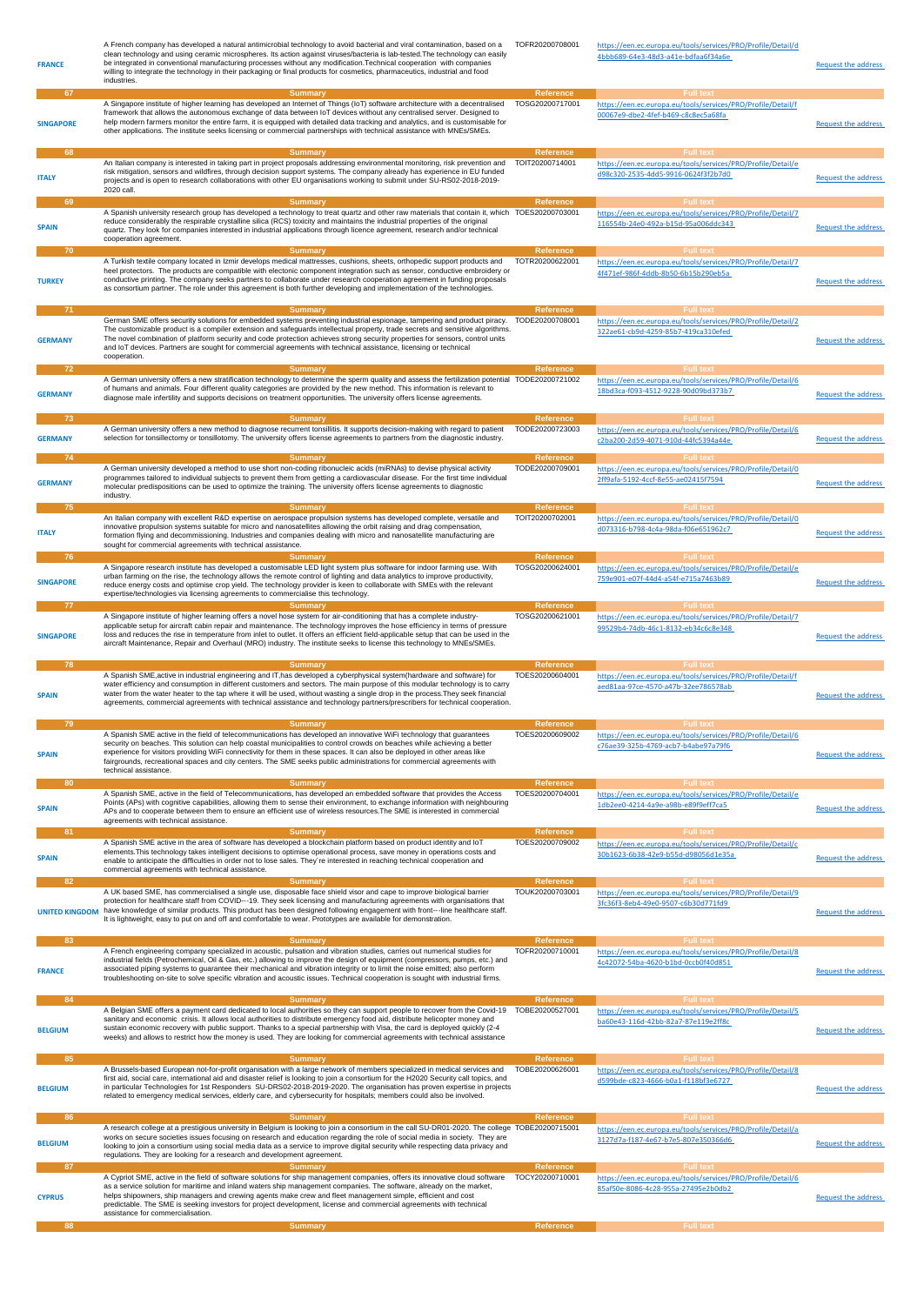| <b>FRANCE</b>              | A French company has developed a natural antimicrobial technology to avoid bacterial and viral contamination, based on a<br>clean technology and using ceramic microspheres. Its action against viruses/bacteria is lab-tested. The technology can easily<br>be integrated in conventional manufacturing processes without any modification. Technical cooperation with companies<br>willing to integrate the technology in their packaging or final products for cosmetics, pharmaceutics, industrial and food<br>industries.                                     | TOFR20200708001                                         | https://een.ec.europa.eu/tools/services/PRO/Profile/Detail/d<br>4bbb689-64e3-48d3-a41e-bdfaa6f34a6e                                         | <b>Request the address</b> |
|----------------------------|--------------------------------------------------------------------------------------------------------------------------------------------------------------------------------------------------------------------------------------------------------------------------------------------------------------------------------------------------------------------------------------------------------------------------------------------------------------------------------------------------------------------------------------------------------------------|---------------------------------------------------------|---------------------------------------------------------------------------------------------------------------------------------------------|----------------------------|
| 67<br><b>SINGAPORE</b>     | <b>Summary</b><br>A Singapore institute of higher learning has developed an Internet of Things (IoT) software architecture with a decentralised<br>framework that allows the autonomous exchange of data between IoT devices without any centralised server. Designed to<br>help modern farmers monitor the entire farm, it is equipped with detailed data tracking and analytics, and is customisable for<br>other applications. The institute seeks licensing or commercial partnerships with technical assistance with MNEs/SMEs.                               | Reference<br>TOSG20200717001                            | <b>Full text</b><br>https://een.ec.europa.eu/tools/services/PRO/Profile/Detail/f<br>00067e9-dbe2-4fef-b469-c8c8ec5a68fa                     | <b>Request the address</b> |
| 68<br><b>ITALY</b>         | <b>Summary</b><br>An Italian company is interested in taking part in project proposals addressing environmental monitoring, risk prevention and<br>risk mitigation, sensors and wildfires, through decision support systems. The company already has experience in EU funded<br>projects and is open to research collaborations with other EU organisations working to submit under SU-RS02-2018-2019-<br>2020 call.                                                                                                                                               | <b>Reference</b><br>TOIT20200714001                     | <b>Full text</b><br>https://een.ec.europa.eu/tools/services/PRO/Profile/Detail/e<br>d98c320-2535-4dd5-9916-0624f3f2b7d0                     | Request the address        |
| 69<br><b>SPAIN</b>         | <b>Summary</b><br>A Spanish university research group has developed a technology to treat quartz and other raw materials that contain it, which TOES20200703001<br>reduce considerably the respirable crystalline silica (RCS) toxicity and maintains the industrial properties of the original<br>quartz. They look for companies interested in industrial applications through licence agreement, research and/or technical<br>cooperation agreement.                                                                                                            | <b>Reference</b>                                        | <b>Full text</b><br>https://een.ec.europa.eu/tools/services/PRO/Profile/Detail/7<br>116554b-24e0-492a-b15d-95a006ddc343                     | <b>Request the address</b> |
| 70<br><b>TURKEY</b><br>-71 | Summary<br>A Turkish textile company located in Izmir develops medical mattresses, cushions, sheets, orthopedic support products and<br>heel protectors. The products are compatible with electonic component integration such as sensor, conductive embroidery or<br>conductive printing. The company seeks partners to collaborate under research cooperation agreement in funding proposals<br>as consortium partner. The role under this agreement is both further developing and implementation of the technologies.                                          | Reference<br>TOTR20200622001<br><b>Reference</b>        | <b>Full text</b><br>https://een.ec.europa.eu/tools/services/PRO/Profile/Detail/7<br>4f471ef-986f-4ddb-8b50-6b15b290eb5a<br><b>Full text</b> | <b>Request the address</b> |
| <b>GERMANY</b>             | <b>Summary</b><br>German SME offers security solutions for embedded systems preventing industrial espionage, tampering and product piracy.<br>The customizable product is a compiler extension and safeguards intellectual property, trade secrets and sensitive algorithms.<br>The novel combination of platform security and code protection achieves strong security properties for sensors, control units<br>and IoT devices. Partners are sought for commercial agreements with technical assistance, licensing or technical<br>cooperation.                  | TODE20200708001                                         | https://een.ec.europa.eu/tools/services/PRO/Profile/Detail/2<br>322ae61-cb9d-4259-85b7-419ca310efed                                         | <b>Request the address</b> |
| 72<br><b>GERMANY</b>       | <b>Summary</b><br>A German university offers a new stratification technology to determine the sperm quality and assess the fertilization potential TODE20200721002<br>of humans and animals. Four different quality categories are provided by the new method. This information is relevant to<br>diagnose male infertility and supports decisions on treatment opportunities. The university offers license agreements.<br><b>Summary</b>                                                                                                                         | <b>Reference</b>                                        | https://een.ec.europa.eu/tools/services/PRO/Profile/Detail/6<br>18bd3ca-f093-4512-9228-90d09bd373b7<br><b>Full text</b>                     | <b>Request the address</b> |
| 73<br><b>GERMANY</b><br>74 | A German university offers a new method to diagnose recurrent tonsillitis. It supports decision-making with regard to patient<br>selection for tonsillectomy or tonsillotomy. The university offers license agreements to partners from the diagnostic industry.<br><b>Summary</b>                                                                                                                                                                                                                                                                                 | <b>Reference</b><br>TODE20200723003<br><b>Reference</b> | https://een.ec.europa.eu/tools/services/PRO/Profile/Detail/6<br>c2ba200-2d59-4071-910d-44fc5394a44e                                         | <b>Request the address</b> |
| <b>GERMANY</b>             | A German university developed a method to use short non-coding ribonucleic acids (miRNAs) to devise physical activity<br>programmes tailored to individual subjects to prevent them from getting a cardiovascular disease. For the first time individual<br>molecular predispositions can be used to optimize the training. The university offers license agreements to diagnostic<br>industry.                                                                                                                                                                    | TODE20200709001                                         | https://een.ec.europa.eu/tools/services/PRO/Profile/Detail/0<br>2ff9afa-5192-4ccf-8e55-ae02415f7594                                         | <b>Request the address</b> |
| 75<br><b>ITALY</b>         | <b>Summary</b><br>An Italian company with excellent R&D expertise on aerospace propulsion systems has developed complete, versatile and<br>innovative propulsion systems suitable for micro and nanosatellites allowing the orbit raising and drag compensation,<br>formation flying and decommissioning. Industries and companies dealing with micro and nanosatellite manufacturing are<br>sought for commercial agreements with technical assistance.                                                                                                           | Reference<br>TOIT20200702001                            | <b>Full text</b><br>https://een.ec.europa.eu/tools/services/PRO/Profile/Detail/0<br>d073316-b798-4c4a-98da-f06e651962c7                     | <b>Request the address</b> |
| 76<br><b>SINGAPORE</b>     | <b>Summary</b><br>A Singapore research institute has developed a customisable LED light system plus software for indoor farming use. With<br>urban farming on the rise, the technology allows the remote control of lighting and data analytics to improve productivity,<br>reduce energy costs and optimise crop yield. The technology provider is keen to collaborate with SMEs with the relevant<br>expertise/technologies via licensing agreements to commercialise this technology.                                                                           | Reference<br>TOSG20200624001                            | <b>Full text</b><br>https://een.ec.europa.eu/tools/services/PRO/Profile/Detail/e<br>759e901-e07f-44d4-a54f-e715a7463b89                     | <b>Request the address</b> |
| 77<br><b>SINGAPORE</b>     | <b>Summary</b><br>A Singapore institute of higher learning offers a novel hose system for air-conditioning that has a complete industry-<br>applicable setup for aircraft cabin repair and maintenance. The technology improves the hose efficiency in terms of pressure<br>loss and reduces the rise in temperature from inlet to outlet. It offers an efficient field-applicable setup that can be used in the<br>aircraft Maintenance, Repair and Overhaul (MRO) industry. The institute seeks to license this technology to MNEs/SMEs.                         | <b>Reference</b><br>TOSG20200621001                     | <b>Full text</b><br>https://een.ec.europa.eu/tools/services/PRO/Profile/Detail/7<br>99529b4-74db-46c1-8132-eb34c6c8e348                     | <b>Request the address</b> |
| 78<br><b>SPAIN</b>         | <b>Summary</b><br>A Spanish SME, active in industrial engineering and IT, has developed a cyberphysical system (hardware and software) for<br>water efficiency and consumption in different customers and sectors. The main purpose of this modular technology is to carry<br>water from the water heater to the tap where it will be used, without wasting a single drop in the process. They seek financial<br>agreements, commercial agreements with technical assistance and technology partners/prescribers for technical cooperation.                        | Reference<br>TOES20200604001                            | <b>Full text</b><br>https://een.ec.europa.eu/tools/services/PRO/Profile/Detail/f<br>aed81aa-97ce-4570-a47b-32ee786578ab                     | Request the address        |
| 79                         | <b>Summary</b><br>A Spanish SME active in the field of telecommunications has developed an innovative WiFi technology that guarantees                                                                                                                                                                                                                                                                                                                                                                                                                              | <b>Reference</b><br>TOES20200609002                     | <b>Full text</b><br>https://een.ec.europa.eu/tools/services/PRO/Profile/Detail/6                                                            |                            |
| <b>SPAIN</b><br>80         | security on beaches. This solution can help coastal municipalities to control crowds on beaches while achieving a better<br>experience for visitors providing WiFi connectivity for them in these spaces. It can also be deployed in other areas like<br>fairgrounds, recreational spaces and city centers. The SME seeks public administrations for commercial agreements with<br>technical assistance.<br><b>Summary</b>                                                                                                                                         | <b>Reference</b>                                        | c76ae39-325b-4769-acb7-b4abe97a79f6<br><b>Full text</b>                                                                                     | <b>Request the address</b> |
| <b>SPAIN</b><br>81         | A Spanish SME, active in the field of Telecommunications, has developed an embedded software that provides the Access<br>Points (APs) with cognitive capabilities, allowing them to sense their environment, to exchange information with neighbouring<br>APs and to cooperate between them to ensure an efficient use of wireless resources. The SME is interested in commercial<br>agreements with technical assistance.<br><b>Summary</b>                                                                                                                       | TOES20200704001<br>Reference                            | https://een.ec.europa.eu/tools/services/PRO/Profile/Detail/e<br>1db2ee0-4214-4a9e-a98b-e89f9eff7ca5<br><b>Full text</b>                     | <b>Request the address</b> |
| <b>SPAIN</b>               | A Spanish SME active in the area of software has developed a blockchain platform based on product identity and IoT<br>elements. This technology takes intelligent decisions to optimise operational process, save money in operations costs and                                                                                                                                                                                                                                                                                                                    | TOES20200709002                                         |                                                                                                                                             |                            |
|                            | enable to anticipate the difficulties in order not to lose sales. They're interested in reaching technical cooperation and<br>commercial agreements with technical assistance.                                                                                                                                                                                                                                                                                                                                                                                     |                                                         | https://een.ec.europa.eu/tools/services/PRO/Profile/Detail/c<br>30b1623-6b38-42e9-b55d-d98056d1e35a                                         | <b>Request the address</b> |
| 82                         | <b>Summary</b><br>A UK based SME, has commercialised a single use, disposable face shield visor and cape to improve biological barrier<br>protection for healthcare staff from COVID---19. They seek licensing and manufacturing agreements with organisations that<br>UNITED KINGDOM have knowledge of similar products. This product has been designed following engagement with front---line healthcare staff.<br>It is lightweight, easy to put on and off and comfortable to wear. Prototypes are available for demonstration.                                | Reference<br>TOUK20200703001                            | <b>Full text</b><br>https://een.ec.europa.eu/tools/services/PRO/Profile/Detail/9<br>3fc36f3-8eb4-49e0-9507-c6b30d771fd9                     | Request the address        |
| 83<br><b>FRANCE</b>        | <b>Summary</b><br>A French engineering company specialized in acoustic, pulsation and vibration studies, carries out numerical studies for<br>industrial fields (Petrochemical, Oil & Gas, etc.) allowing to improve the design of equipment (compressors, pumps, etc.) and<br>associated piping systems to guarantee their mechanical and vibration integrity or to limit the noise emitted; also perform<br>troubleshooting on-site to solve specific vibration and acoustic issues. Technical cooperation is sought with industrial firms.                      | Reference<br>TOFR20200710001                            | <b>Full text</b><br>https://een.ec.europa.eu/tools/services/PRO/Profile/Detail/8<br>4c42072-54ba-4620-b1bd-0ccb0f40d851                     | <b>Request the address</b> |
| 84<br><b>BELGIUM</b>       | <b>Summary</b><br>A Belgian SME offers a payment card dedicated to local authorities so they can support people to recover from the Covid-19 TOBE20200527001<br>sanitary and economic crisis. It allows local authorities to distribute emergency food aid, distribute helicopter money and<br>sustain economic recovery with public support. Thanks to a special partnership with Visa, the card is deployed quickly (2-4<br>weeks) and allows to restrict how the money is used. They are looking for commercial agreements with technical assistance            | Reference                                               | <b>Full text</b><br>https://een.ec.europa.eu/tools/services/PRO/Profile/Detail/5<br>ba60e43-116d-42bb-82a7-87e119e2ff8c                     | <b>Request the address</b> |
| 85<br><b>BELGIUM</b>       | <b>Summary</b><br>A Brussels-based European not-for-profit organisation with a large network of members specialized in medical services and<br>first aid, social care, international aid and disaster relief is looking to join a consortium for the H2020 Security call topics, and<br>in particular Technologies for 1st Responders SU-DRS02-2018-2019-2020. The organisation has proven expertise in projects<br>related to emergency medical services, elderly care, and cybersecurity for hospitals; members could also be involved.                          | <b>Reference</b><br>TOBE20200626001                     | <b>Full text</b><br>https://een.ec.europa.eu/tools/services/PRO/Profile/Detail/8<br>d599bde-c823-4666-b0a1-f118bf3e6727                     | <b>Request the address</b> |
| 86<br><b>BELGIUM</b>       | <b>Summary</b><br>A research college at a prestigious university in Belgium is looking to join a consortium in the call SU-DR01-2020. The college TOBE20200715001<br>works on secure societies issues focusing on research and education regarding the role of social media in society. They are<br>looking to join a consortium using social media data as a service to improve digital security while respecting data privacy and<br>regulations. They are looking for a research and development agreement.                                                     | Reference                                               | <b>Full text</b><br>https://een.ec.europa.eu/tools/services/PRO/Profile/Detail/a<br>3127d7a-f187-4e67-b7e5-807e350366d6                     | <b>Request the address</b> |
| 87<br><b>CYPRUS</b>        | <b>Summary</b><br>A Cypriot SME, active in the field of software solutions for ship management companies, offers its innovative cloud software TOCY20200710001<br>as a service solution for maritime and inland waters ship management companies. The software, already on the market,<br>helps shipowners, ship managers and crewing agents make crew and fleet management simple, efficient and cost<br>predictable. The SME is seeking investors for project development, license and commercial agreements with technical<br>assistance for commercialisation. | <b>Reference</b>                                        | <b>Full text</b><br>https://een.ec.europa.eu/tools/services/PRO/Profile/Detail/6<br>85af50e-8086-4c28-955a-27495e2b0db2                     | <b>Request the address</b> |